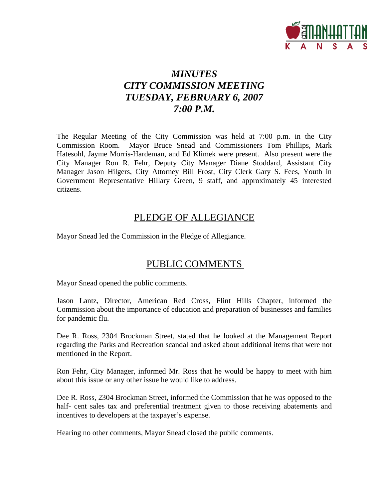

# *MINUTES CITY COMMISSION MEETING TUESDAY, FEBRUARY 6, 2007 7:00 P.M.*

The Regular Meeting of the City Commission was held at 7:00 p.m. in the City Commission Room. Mayor Bruce Snead and Commissioners Tom Phillips, Mark Hatesohl, Jayme Morris-Hardeman, and Ed Klimek were present. Also present were the City Manager Ron R. Fehr, Deputy City Manager Diane Stoddard, Assistant City Manager Jason Hilgers, City Attorney Bill Frost, City Clerk Gary S. Fees, Youth in Government Representative Hillary Green, 9 staff, and approximately 45 interested citizens.

## PLEDGE OF ALLEGIANCE

Mayor Snead led the Commission in the Pledge of Allegiance.

# PUBLIC COMMENTS

Mayor Snead opened the public comments.

Jason Lantz, Director, American Red Cross, Flint Hills Chapter, informed the Commission about the importance of education and preparation of businesses and families for pandemic flu.

Dee R. Ross, 2304 Brockman Street, stated that he looked at the Management Report regarding the Parks and Recreation scandal and asked about additional items that were not mentioned in the Report.

Ron Fehr, City Manager, informed Mr. Ross that he would be happy to meet with him about this issue or any other issue he would like to address.

Dee R. Ross, 2304 Brockman Street, informed the Commission that he was opposed to the half- cent sales tax and preferential treatment given to those receiving abatements and incentives to developers at the taxpayer's expense.

Hearing no other comments, Mayor Snead closed the public comments.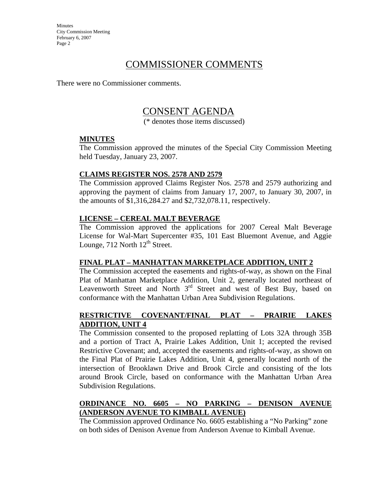## COMMISSIONER COMMENTS

There were no Commissioner comments.

## CONSENT AGENDA

(\* denotes those items discussed)

#### **MINUTES**

The Commission approved the minutes of the Special City Commission Meeting held Tuesday, January 23, 2007.

#### **CLAIMS REGISTER NOS. 2578 AND 2579**

The Commission approved Claims Register Nos. 2578 and 2579 authorizing and approving the payment of claims from January 17, 2007, to January 30, 2007, in the amounts of \$1,316,284.27 and \$2,732,078.11, respectively.

#### **LICENSE – CEREAL MALT BEVERAGE**

The Commission approved the applications for 2007 Cereal Malt Beverage License for Wal-Mart Supercenter #35, 101 East Bluemont Avenue, and Aggie Lounge,  $712$  North  $12<sup>th</sup>$  Street.

#### **FINAL PLAT – MANHATTAN MARKETPLACE ADDITION, UNIT 2**

The Commission accepted the easements and rights-of-way, as shown on the Final Plat of Manhattan Marketplace Addition, Unit 2, generally located northeast of Leavenworth Street and North  $3<sup>rd</sup>$  Street and west of Best Buy, based on conformance with the Manhattan Urban Area Subdivision Regulations.

#### **RESTRICTIVE COVENANT/FINAL PLAT – PRAIRIE LAKES ADDITION, UNIT 4**

The Commission consented to the proposed replatting of Lots 32A through 35B and a portion of Tract A, Prairie Lakes Addition, Unit 1; accepted the revised Restrictive Covenant; and, accepted the easements and rights-of-way, as shown on the Final Plat of Prairie Lakes Addition, Unit 4, generally located north of the intersection of Brooklawn Drive and Brook Circle and consisting of the lots around Brook Circle, based on conformance with the Manhattan Urban Area Subdivision Regulations.

#### **ORDINANCE NO. 6605 – NO PARKING – DENISON AVENUE (ANDERSON AVENUE TO KIMBALL AVENUE)**

The Commission approved Ordinance No. 6605 establishing a "No Parking" zone on both sides of Denison Avenue from Anderson Avenue to Kimball Avenue.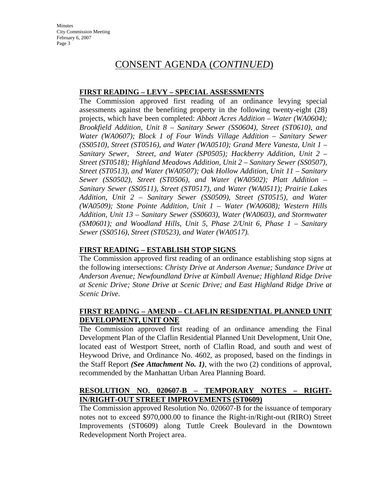## CONSENT AGENDA (*CONTINUED*)

#### **FIRST READING – LEVY – SPECIAL ASSESSMENTS**

The Commission approved first reading of an ordinance levying special assessments against the benefiting property in the following twenty-eight (28) projects, which have been completed: *Abbott Acres Addition – Water (WA0604); Brookfield Addition, Unit 8 – Sanitary Sewer (SS0604), Street (ST0610), and Water (WA0607); Block 1 of Four Winds Village Addition – Sanitary Sewer (SS0510), Street (ST0516), and Water (WA0510); Grand Mere Vanesta, Unit 1 – Sanitary Sewer, Street, and Water (SP0505); Hackberry Addition, Unit 2 – Street (ST0518); Highland Meadows Addition, Unit 2 – Sanitary Sewer (SS0507), Street (ST0513), and Water (WA0507); Oak Hollow Addition, Unit 11 – Sanitary Sewer (SS0502), Street (ST0506), and Water (WA0502); Platt Addition – Sanitary Sewer (SS0511), Street (ST0517), and Water (WA0511); Prairie Lakes Addition, Unit 2 – Sanitary Sewer (SS0509), Street (ST0515), and Water (WA0509); Stone Pointe Addition, Unit 1 – Water (WA0608); Western Hills Addition, Unit 13 – Sanitary Sewer (SS0603), Water (WA0603), and Stormwater (SM0601); and Woodland Hills, Unit 5, Phase 2/Unit 6, Phase 1 – Sanitary Sewer (SS0516), Street (ST0523), and Water (WA0517).* 

#### **FIRST READING – ESTABLISH STOP SIGNS**

The Commission approved first reading of an ordinance establishing stop signs at the following intersections: *Christy Drive at Anderson Avenue; Sundance Drive at Anderson Avenue; Newfoundland Drive at Kimball Avenue; Highland Ridge Drive at Scenic Drive; Stone Drive at Scenic Drive; and East Highland Ridge Drive at Scenic Drive.* 

#### **FIRST READING – AMEND – CLAFLIN RESIDENTIAL PLANNED UNIT DEVELOPMENT, UNIT ONE**

The Commission approved first reading of an ordinance amending the Final Development Plan of the Claflin Residential Planned Unit Development, Unit One, located east of Westport Street, north of Claflin Road, and south and west of Heywood Drive, and Ordinance No. 4602, as proposed, based on the findings in the Staff Report *(See Attachment No. 1)*, with the two (2) conditions of approval, recommended by the Manhattan Urban Area Planning Board.

#### **RESOLUTION NO. 020607-B – TEMPORARY NOTES – RIGHT-IN/RIGHT-OUT STREET IMPROVEMENTS (ST0609)**

The Commission approved Resolution No. 020607-B for the issuance of temporary notes not to exceed \$970,000.00 to finance the Right-in/Right-out (RIRO) Street Improvements (ST0609) along Tuttle Creek Boulevard in the Downtown Redevelopment North Project area.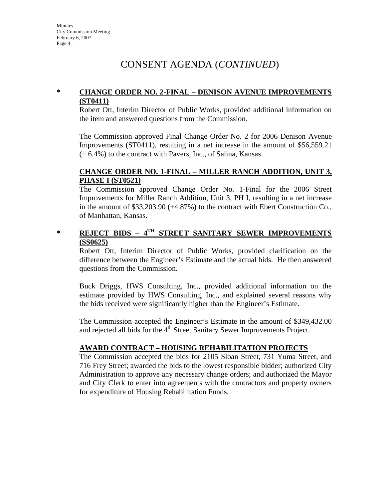# CONSENT AGENDA (*CONTINUED*)

#### **\* CHANGE ORDER NO. 2-FINAL – DENISON AVENUE IMPROVEMENTS (ST0411)**

Robert Ott, Interim Director of Public Works, provided additional information on the item and answered questions from the Commission.

The Commission approved Final Change Order No. 2 for 2006 Denison Avenue Improvements (ST0411), resulting in a net increase in the amount of \$56,559.21 (+ 6.4%) to the contract with Pavers, Inc., of Salina, Kansas.

#### **CHANGE ORDER NO. 1-FINAL – MILLER RANCH ADDITION, UNIT 3, PHASE I (ST0521)**

The Commission approved Change Order No. 1-Final for the 2006 Street Improvements for Miller Ranch Addition, Unit 3, PH I, resulting in a net increase in the amount of \$33,203.90 (+4.87%) to the contract with Ebert Construction Co., of Manhattan, Kansas.

## **\* REJECT BIDS – 4TH STREET SANITARY SEWER IMPROVEMENTS (SS0625)**

Robert Ott, Interim Director of Public Works, provided clarification on the difference between the Engineer's Estimate and the actual bids. He then answered questions from the Commission.

Buck Driggs, HWS Consulting, Inc., provided additional information on the estimate provided by HWS Consulting, Inc., and explained several reasons why the bids received were significantly higher than the Engineer's Estimate.

The Commission accepted the Engineer's Estimate in the amount of \$349,432.00 and rejected all bids for the 4<sup>th</sup> Street Sanitary Sewer Improvements Project.

#### **AWARD CONTRACT – HOUSING REHABILITATION PROJECTS**

The Commission accepted the bids for 2105 Sloan Street, 731 Yuma Street, and 716 Frey Street; awarded the bids to the lowest responsible bidder; authorized City Administration to approve any necessary change orders; and authorized the Mayor and City Clerk to enter into agreements with the contractors and property owners for expenditure of Housing Rehabilitation Funds.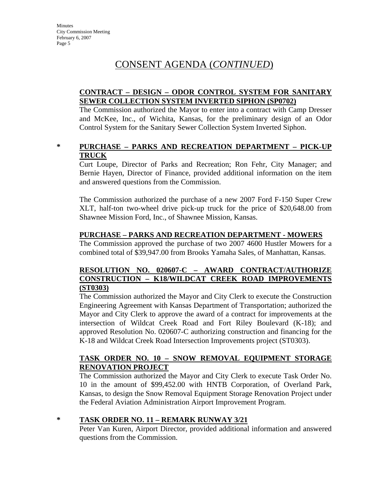# CONSENT AGENDA (*CONTINUED*)

#### **CONTRACT – DESIGN – ODOR CONTROL SYSTEM FOR SANITARY SEWER COLLECTION SYSTEM INVERTED SIPHON (SP0702)**

The Commission authorized the Mayor to enter into a contract with Camp Dresser and McKee, Inc., of Wichita, Kansas, for the preliminary design of an Odor Control System for the Sanitary Sewer Collection System Inverted Siphon.

#### **\* PURCHASE – PARKS AND RECREATION DEPARTMENT – PICK-UP TRUCK**

Curt Loupe, Director of Parks and Recreation; Ron Fehr, City Manager; and Bernie Hayen, Director of Finance, provided additional information on the item and answered questions from the Commission.

The Commission authorized the purchase of a new 2007 Ford F-150 Super Crew XLT, half-ton two-wheel drive pick-up truck for the price of \$20,648.00 from Shawnee Mission Ford, Inc., of Shawnee Mission, Kansas.

#### **PURCHASE – PARKS AND RECREATION DEPARTMENT - MOWERS**

The Commission approved the purchase of two 2007 4600 Hustler Mowers for a combined total of \$39,947.00 from Brooks Yamaha Sales, of Manhattan, Kansas.

#### **RESOLUTION NO. 020607-C – AWARD CONTRACT/AUTHORIZE CONSTRUCTION – K18/WILDCAT CREEK ROAD IMPROVEMENTS (ST0303)**

The Commission authorized the Mayor and City Clerk to execute the Construction Engineering Agreement with Kansas Department of Transportation; authorized the Mayor and City Clerk to approve the award of a contract for improvements at the intersection of Wildcat Creek Road and Fort Riley Boulevard (K-18); and approved Resolution No. 020607-C authorizing construction and financing for the K-18 and Wildcat Creek Road Intersection Improvements project (ST0303).

#### **TASK ORDER NO. 10 – SNOW REMOVAL EQUIPMENT STORAGE RENOVATION PROJECT**

The Commission authorized the Mayor and City Clerk to execute Task Order No. 10 in the amount of \$99,452.00 with HNTB Corporation, of Overland Park, Kansas, to design the Snow Removal Equipment Storage Renovation Project under the Federal Aviation Administration Airport Improvement Program.

#### **\* TASK ORDER NO. 11 – REMARK RUNWAY 3/21**

Peter Van Kuren, Airport Director, provided additional information and answered questions from the Commission.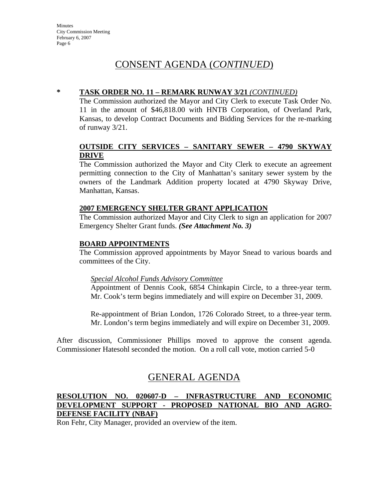# CONSENT AGENDA (*CONTINUED*)

#### **\* TASK ORDER NO. 11 – REMARK RUNWAY 3/21** *(CONTINUED)*

The Commission authorized the Mayor and City Clerk to execute Task Order No. 11 in the amount of \$46,818.00 with HNTB Corporation, of Overland Park, Kansas, to develop Contract Documents and Bidding Services for the re-marking of runway 3/21.

#### **OUTSIDE CITY SERVICES – SANITARY SEWER – 4790 SKYWAY DRIVE**

The Commission authorized the Mayor and City Clerk to execute an agreement permitting connection to the City of Manhattan's sanitary sewer system by the owners of the Landmark Addition property located at 4790 Skyway Drive, Manhattan, Kansas.

#### **2007 EMERGENCY SHELTER GRANT APPLICATION**

The Commission authorized Mayor and City Clerk to sign an application for 2007 Emergency Shelter Grant funds. *(See Attachment No. 3)* 

#### **BOARD APPOINTMENTS**

The Commission approved appointments by Mayor Snead to various boards and committees of the City.

#### *Special Alcohol Funds Advisory Committee*

Appointment of Dennis Cook, 6854 Chinkapin Circle, to a three-year term. Mr. Cook's term begins immediately and will expire on December 31, 2009.

Re-appointment of Brian London, 1726 Colorado Street, to a three-year term. Mr. London's term begins immediately and will expire on December 31, 2009.

After discussion, Commissioner Phillips moved to approve the consent agenda. Commissioner Hatesohl seconded the motion. On a roll call vote, motion carried 5-0

# GENERAL AGENDA

#### **RESOLUTION NO. 020607-D – INFRASTRUCTURE AND ECONOMIC DEVELOPMENT SUPPORT - PROPOSED NATIONAL BIO AND AGRO-DEFENSE FACILITY (NBAF)**

Ron Fehr, City Manager, provided an overview of the item.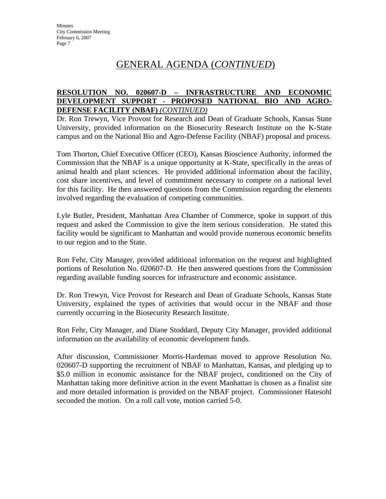# GENERAL AGENDA (*CONTINUED*)

#### **RESOLUTION NO. 020607-D – INFRASTRUCTURE AND ECONOMIC DEVELOPMENT SUPPORT - PROPOSED NATIONAL BIO AND AGRO-DEFENSE FACILITY (NBAF)** *(CONTINUED)*

Dr. Ron Trewyn, Vice Provost for Research and Dean of Graduate Schools, Kansas State University, provided information on the Biosecurity Research Institute on the K-State campus and on the National Bio and Agro-Defense Facility (NBAF) proposal and process.

Tom Thorton, Chief Executive Officer (CEO), Kansas Bioscience Authority, informed the Commission that the NBAF is a unique opportunity at K-State, specifically in the areas of animal health and plant sciences. He provided additional information about the facility, cost share incentives, and level of commitment necessary to compete on a national level for this facility. He then answered questions from the Commission regarding the elements involved regarding the evaluation of competing communities.

Lyle Butler, President, Manhattan Area Chamber of Commerce, spoke in support of this request and asked the Commission to give the item serious consideration. He stated this facility would be significant to Manhattan and would provide numerous economic benefits to our region and to the State.

Ron Fehr, City Manager, provided additional information on the request and highlighted portions of Resolution No. 020607-D. He then answered questions from the Commission regarding available funding sources for infrastructure and economic assistance.

Dr. Ron Trewyn, Vice Provost for Research and Dean of Graduate Schools, Kansas State University, explained the types of activities that would occur in the NBAF and those currently occurring in the Biosecurity Research Institute.

Ron Fehr, City Manager, and Diane Stoddard, Deputy City Manager, provided additional information on the availability of economic development funds.

After discussion, Commissioner Morris-Hardeman moved to approve Resolution No. 020607-D supporting the recruitment of NBAF to Manhattan, Kansas, and pledging up to \$5.0 million in economic assistance for the NBAF project, conditioned on the City of Manhattan taking more definitive action in the event Manhattan is chosen as a finalist site and more detailed information is provided on the NBAF project. Commissioner Hatesohl seconded the motion. On a roll call vote, motion carried 5-0.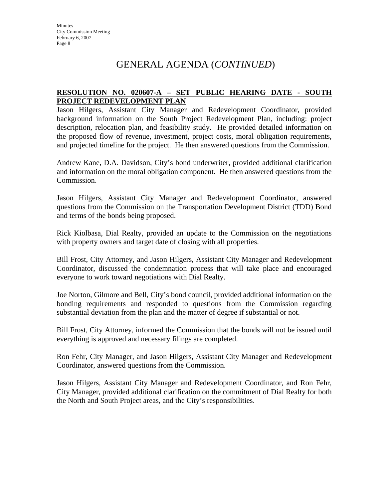# GENERAL AGENDA (*CONTINUED*)

#### **RESOLUTION NO. 020607-A – SET PUBLIC HEARING DATE - SOUTH PROJECT REDEVELOPMENT PLAN**

Jason Hilgers, Assistant City Manager and Redevelopment Coordinator, provided background information on the South Project Redevelopment Plan, including: project description, relocation plan, and feasibility study. He provided detailed information on the proposed flow of revenue, investment, project costs, moral obligation requirements, and projected timeline for the project. He then answered questions from the Commission.

Andrew Kane, D.A. Davidson, City's bond underwriter, provided additional clarification and information on the moral obligation component. He then answered questions from the Commission.

Jason Hilgers, Assistant City Manager and Redevelopment Coordinator, answered questions from the Commission on the Transportation Development District (TDD) Bond and terms of the bonds being proposed.

Rick Kiolbasa, Dial Realty, provided an update to the Commission on the negotiations with property owners and target date of closing with all properties.

Bill Frost, City Attorney, and Jason Hilgers, Assistant City Manager and Redevelopment Coordinator, discussed the condemnation process that will take place and encouraged everyone to work toward negotiations with Dial Realty.

Joe Norton, Gilmore and Bell, City's bond council, provided additional information on the bonding requirements and responded to questions from the Commission regarding substantial deviation from the plan and the matter of degree if substantial or not.

Bill Frost, City Attorney, informed the Commission that the bonds will not be issued until everything is approved and necessary filings are completed.

Ron Fehr, City Manager, and Jason Hilgers, Assistant City Manager and Redevelopment Coordinator, answered questions from the Commission.

Jason Hilgers, Assistant City Manager and Redevelopment Coordinator, and Ron Fehr, City Manager, provided additional clarification on the commitment of Dial Realty for both the North and South Project areas, and the City's responsibilities.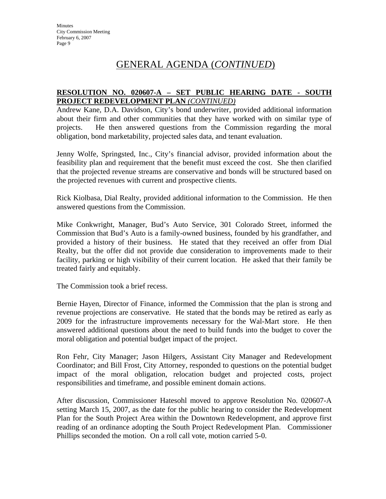# GENERAL AGENDA (*CONTINUED*)

#### **RESOLUTION NO. 020607-A – SET PUBLIC HEARING DATE - SOUTH PROJECT REDEVELOPMENT PLAN** *(CONTINUED)*

Andrew Kane, D.A. Davidson, City's bond underwriter, provided additional information about their firm and other communities that they have worked with on similar type of projects. He then answered questions from the Commission regarding the moral obligation, bond marketability, projected sales data, and tenant evaluation.

Jenny Wolfe, Springsted, Inc., City's financial advisor, provided information about the feasibility plan and requirement that the benefit must exceed the cost. She then clarified that the projected revenue streams are conservative and bonds will be structured based on the projected revenues with current and prospective clients.

Rick Kiolbasa, Dial Realty, provided additional information to the Commission. He then answered questions from the Commission.

Mike Conkwright, Manager, Bud's Auto Service, 301 Colorado Street, informed the Commission that Bud's Auto is a family-owned business, founded by his grandfather, and provided a history of their business. He stated that they received an offer from Dial Realty, but the offer did not provide due consideration to improvements made to their facility, parking or high visibility of their current location. He asked that their family be treated fairly and equitably.

The Commission took a brief recess.

Bernie Hayen, Director of Finance, informed the Commission that the plan is strong and revenue projections are conservative. He stated that the bonds may be retired as early as 2009 for the infrastructure improvements necessary for the Wal-Mart store. He then answered additional questions about the need to build funds into the budget to cover the moral obligation and potential budget impact of the project.

Ron Fehr, City Manager; Jason Hilgers, Assistant City Manager and Redevelopment Coordinator; and Bill Frost, City Attorney, responded to questions on the potential budget impact of the moral obligation, relocation budget and projected costs, project responsibilities and timeframe, and possible eminent domain actions.

After discussion, Commissioner Hatesohl moved to approve Resolution No. 020607-A setting March 15, 2007, as the date for the public hearing to consider the Redevelopment Plan for the South Project Area within the Downtown Redevelopment, and approve first reading of an ordinance adopting the South Project Redevelopment Plan. Commissioner Phillips seconded the motion. On a roll call vote, motion carried 5-0.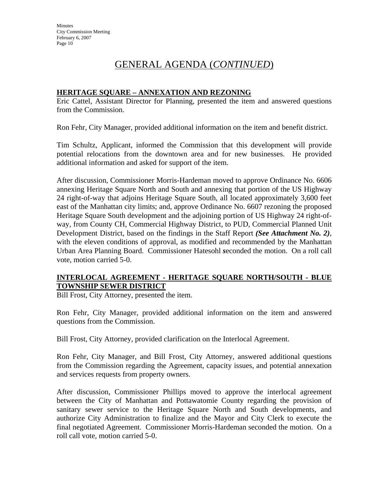# GENERAL AGENDA (*CONTINUED*)

#### **HERITAGE SQUARE – ANNEXATION AND REZONING**

Eric Cattel, Assistant Director for Planning, presented the item and answered questions from the Commission.

Ron Fehr, City Manager, provided additional information on the item and benefit district.

Tim Schultz, Applicant, informed the Commission that this development will provide potential relocations from the downtown area and for new businesses. He provided additional information and asked for support of the item.

After discussion, Commissioner Morris-Hardeman moved to approve Ordinance No. 6606 annexing Heritage Square North and South and annexing that portion of the US Highway 24 right-of-way that adjoins Heritage Square South, all located approximately 3,600 feet east of the Manhattan city limits; and, approve Ordinance No. 6607 rezoning the proposed Heritage Square South development and the adjoining portion of US Highway 24 right-ofway, from County CH, Commercial Highway District, to PUD, Commercial Planned Unit Development District, based on the findings in the Staff Report *(See Attachment No. 2)*, with the eleven conditions of approval, as modified and recommended by the Manhattan Urban Area Planning Board. Commissioner Hatesohl *s*econded the motion. On a roll call vote, motion carried 5-0.

#### **INTERLOCAL AGREEMENT - HERITAGE SQUARE NORTH/SOUTH - BLUE TOWNSHIP SEWER DISTRICT**

Bill Frost, City Attorney, presented the item.

Ron Fehr, City Manager, provided additional information on the item and answered questions from the Commission.

Bill Frost, City Attorney, provided clarification on the Interlocal Agreement.

Ron Fehr, City Manager, and Bill Frost, City Attorney, answered additional questions from the Commission regarding the Agreement, capacity issues, and potential annexation and services requests from property owners.

After discussion, Commissioner Phillips moved to approve the interlocal agreement between the City of Manhattan and Pottawatomie County regarding the provision of sanitary sewer service to the Heritage Square North and South developments, and authorize City Administration to finalize and the Mayor and City Clerk to execute the final negotiated Agreement. Commissioner Morris-Hardeman seconded the motion. On a roll call vote, motion carried 5-0.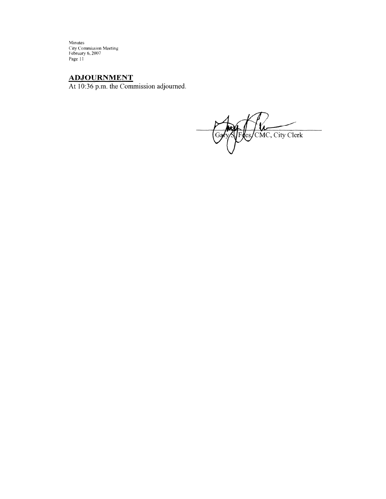Minutes<br>City Commission Meeting<br>February 6, 2007<br>Page 11

## **ADJOURNMENT**

At 10:36 p.m. the Commission adjourned.

es/CMC, City Clerk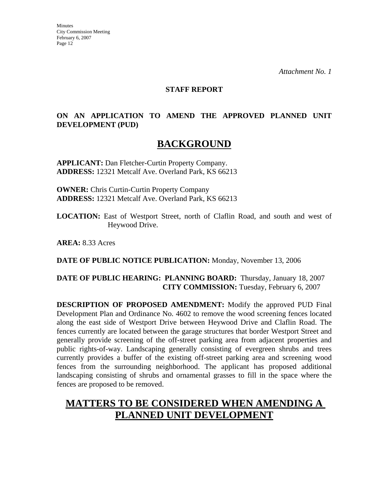#### **STAFF REPORT**

## **ON AN APPLICATION TO AMEND THE APPROVED PLANNED UNIT DEVELOPMENT (PUD)**

# **BACKGROUND**

**APPLICANT:** Dan Fletcher-Curtin Property Company. **ADDRESS:** 12321 Metcalf Ave. Overland Park, KS 66213

**OWNER:** Chris Curtin-Curtin Property Company **ADDRESS:** 12321 Metcalf Ave. Overland Park, KS 66213

**LOCATION:** East of Westport Street, north of Claflin Road, and south and west of Heywood Drive.

**AREA:** 8.33 Acres

**DATE OF PUBLIC NOTICE PUBLICATION:** Monday, November 13, 2006

#### **DATE OF PUBLIC HEARING: PLANNING BOARD:** Thursday, January 18, 2007 **CITY COMMISSION:** Tuesday, February 6, 2007

**DESCRIPTION OF PROPOSED AMENDMENT:** Modify the approved PUD Final Development Plan and Ordinance No. 4602 to remove the wood screening fences located along the east side of Westport Drive between Heywood Drive and Claflin Road. The fences currently are located between the garage structures that border Westport Street and generally provide screening of the off-street parking area from adjacent properties and public rights-of-way. Landscaping generally consisting of evergreen shrubs and trees currently provides a buffer of the existing off-street parking area and screening wood fences from the surrounding neighborhood. The applicant has proposed additional landscaping consisting of shrubs and ornamental grasses to fill in the space where the fences are proposed to be removed.

# **MATTERS TO BE CONSIDERED WHEN AMENDING A PLANNED UNIT DEVELOPMENT**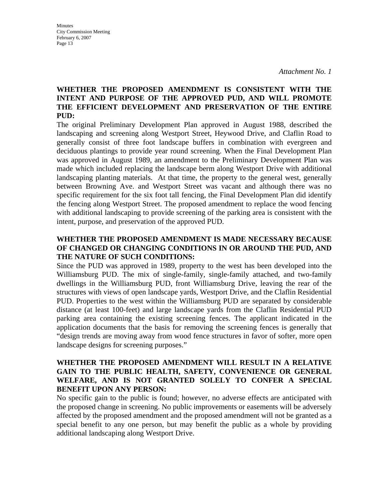#### **WHETHER THE PROPOSED AMENDMENT IS CONSISTENT WITH THE INTENT AND PURPOSE OF THE APPROVED PUD, AND WILL PROMOTE THE EFFICIENT DEVELOPMENT AND PRESERVATION OF THE ENTIRE PUD:**

The original Preliminary Development Plan approved in August 1988, described the landscaping and screening along Westport Street, Heywood Drive, and Claflin Road to generally consist of three foot landscape buffers in combination with evergreen and deciduous plantings to provide year round screening. When the Final Development Plan was approved in August 1989, an amendment to the Preliminary Development Plan was made which included replacing the landscape berm along Westport Drive with additional landscaping planting materials. At that time, the property to the general west, generally between Browning Ave. and Westport Street was vacant and although there was no specific requirement for the six foot tall fencing, the Final Development Plan did identify the fencing along Westport Street. The proposed amendment to replace the wood fencing with additional landscaping to provide screening of the parking area is consistent with the intent, purpose, and preservation of the approved PUD.

#### **WHETHER THE PROPOSED AMENDMENT IS MADE NECESSARY BECAUSE OF CHANGED OR CHANGING CONDITIONS IN OR AROUND THE PUD, AND THE NATURE OF SUCH CONDITIONS:**

Since the PUD was approved in 1989, property to the west has been developed into the Williamsburg PUD. The mix of single-family, single-family attached, and two-family dwellings in the Williamsburg PUD, front Williamsburg Drive, leaving the rear of the structures with views of open landscape yards, Westport Drive, and the Claflin Residential PUD. Properties to the west within the Williamsburg PUD are separated by considerable distance (at least 100-feet) and large landscape yards from the Claflin Residential PUD parking area containing the existing screening fences. The applicant indicated in the application documents that the basis for removing the screening fences is generally that "design trends are moving away from wood fence structures in favor of softer, more open landscape designs for screening purposes."

#### **WHETHER THE PROPOSED AMENDMENT WILL RESULT IN A RELATIVE GAIN TO THE PUBLIC HEALTH, SAFETY, CONVENIENCE OR GENERAL WELFARE, AND IS NOT GRANTED SOLELY TO CONFER A SPECIAL BENEFIT UPON ANY PERSON:**

No specific gain to the public is found; however, no adverse effects are anticipated with the proposed change in screening. No public improvements or easements will be adversely affected by the proposed amendment and the proposed amendment will not be granted as a special benefit to any one person, but may benefit the public as a whole by providing additional landscaping along Westport Drive.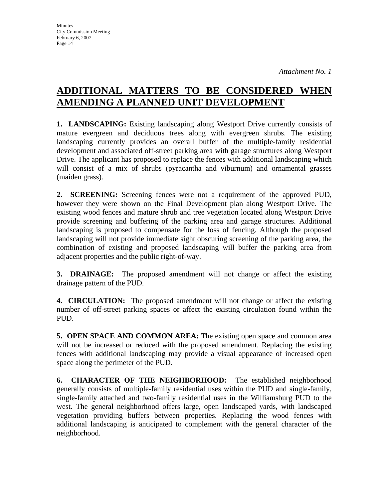# **ADDITIONAL MATTERS TO BE CONSIDERED WHEN AMENDING A PLANNED UNIT DEVELOPMENT**

**1. LANDSCAPING:** Existing landscaping along Westport Drive currently consists of mature evergreen and deciduous trees along with evergreen shrubs. The existing landscaping currently provides an overall buffer of the multiple-family residential development and associated off-street parking area with garage structures along Westport Drive. The applicant has proposed to replace the fences with additional landscaping which will consist of a mix of shrubs (pyracantha and viburnum) and ornamental grasses (maiden grass).

**2. SCREENING:** Screening fences were not a requirement of the approved PUD, however they were shown on the Final Development plan along Westport Drive. The existing wood fences and mature shrub and tree vegetation located along Westport Drive provide screening and buffering of the parking area and garage structures. Additional landscaping is proposed to compensate for the loss of fencing. Although the proposed landscaping will not provide immediate sight obscuring screening of the parking area, the combination of existing and proposed landscaping will buffer the parking area from adjacent properties and the public right-of-way.

**3. DRAINAGE:** The proposed amendment will not change or affect the existing drainage pattern of the PUD.

**4. CIRCULATION:** The proposed amendment will not change or affect the existing number of off-street parking spaces or affect the existing circulation found within the PUD.

**5. OPEN SPACE AND COMMON AREA:** The existing open space and common area will not be increased or reduced with the proposed amendment. Replacing the existing fences with additional landscaping may provide a visual appearance of increased open space along the perimeter of the PUD.

**6. CHARACTER OF THE NEIGHBORHOOD:** The established neighborhood generally consists of multiple-family residential uses within the PUD and single-family, single-family attached and two-family residential uses in the Williamsburg PUD to the west. The general neighborhood offers large, open landscaped yards, with landscaped vegetation providing buffers between properties. Replacing the wood fences with additional landscaping is anticipated to complement with the general character of the neighborhood.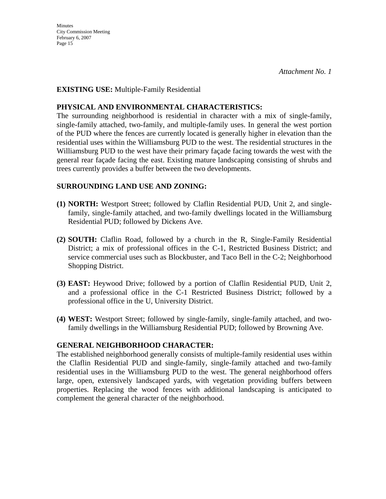**Minutes** City Commission Meeting February 6, 2007 Page 15

#### **EXISTING USE:** Multiple-Family Residential

#### **PHYSICAL AND ENVIRONMENTAL CHARACTERISTICS:**

The surrounding neighborhood is residential in character with a mix of single-family, single-family attached, two-family, and multiple-family uses. In general the west portion of the PUD where the fences are currently located is generally higher in elevation than the residential uses within the Williamsburg PUD to the west. The residential structures in the Williamsburg PUD to the west have their primary façade facing towards the west with the general rear façade facing the east. Existing mature landscaping consisting of shrubs and trees currently provides a buffer between the two developments.

#### **SURROUNDING LAND USE AND ZONING:**

- **(1) NORTH:** Westport Street; followed by Claflin Residential PUD, Unit 2, and singlefamily, single-family attached, and two-family dwellings located in the Williamsburg Residential PUD; followed by Dickens Ave.
- **(2) SOUTH:** Claflin Road, followed by a church in the R, Single-Family Residential District; a mix of professional offices in the C-1, Restricted Business District; and service commercial uses such as Blockbuster, and Taco Bell in the C-2; Neighborhood Shopping District.
- **(3) EAST:** Heywood Drive; followed by a portion of Claflin Residential PUD, Unit 2, and a professional office in the C-1 Restricted Business District; followed by a professional office in the U, University District.
- **(4) WEST:** Westport Street; followed by single-family, single-family attached, and twofamily dwellings in the Williamsburg Residential PUD; followed by Browning Ave.

#### **GENERAL NEIGHBORHOOD CHARACTER:**

The established neighborhood generally consists of multiple-family residential uses within the Claflin Residential PUD and single-family, single-family attached and two-family residential uses in the Williamsburg PUD to the west. The general neighborhood offers large, open, extensively landscaped yards, with vegetation providing buffers between properties. Replacing the wood fences with additional landscaping is anticipated to complement the general character of the neighborhood.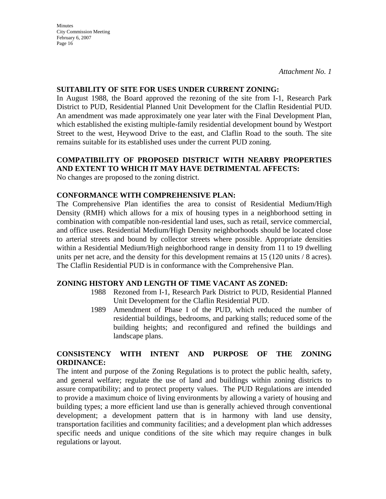*Attachment No. 1* 

#### **SUITABILITY OF SITE FOR USES UNDER CURRENT ZONING:**

In August 1988, the Board approved the rezoning of the site from I-1, Research Park District to PUD, Residential Planned Unit Development for the Claflin Residential PUD. An amendment was made approximately one year later with the Final Development Plan, which established the existing multiple-family residential development bound by Westport Street to the west, Heywood Drive to the east, and Claflin Road to the south. The site remains suitable for its established uses under the current PUD zoning.

#### **COMPATIBILITY OF PROPOSED DISTRICT WITH NEARBY PROPERTIES AND EXTENT TO WHICH IT MAY HAVE DETRIMENTAL AFFECTS:**

No changes are proposed to the zoning district.

#### **CONFORMANCE WITH COMPREHENSIVE PLAN:**

The Comprehensive Plan identifies the area to consist of Residential Medium/High Density (RMH) which allows for a mix of housing types in a neighborhood setting in combination with compatible non-residential land uses, such as retail, service commercial, and office uses. Residential Medium/High Density neighborhoods should be located close to arterial streets and bound by collector streets where possible. Appropriate densities within a Residential Medium/High neighborhood range in density from 11 to 19 dwelling units per net acre, and the density for this development remains at 15 (120 units / 8 acres). The Claflin Residential PUD is in conformance with the Comprehensive Plan.

#### **ZONING HISTORY AND LENGTH OF TIME VACANT AS ZONED:**

- 1988 Rezoned from I-1, Research Park District to PUD, Residential Planned Unit Development for the Claflin Residential PUD.
- 1989 Amendment of Phase I of the PUD, which reduced the number of residential buildings, bedrooms, and parking stalls; reduced some of the building heights; and reconfigured and refined the buildings and landscape plans.

#### **CONSISTENCY WITH INTENT AND PURPOSE OF THE ZONING ORDINANCE:**

The intent and purpose of the Zoning Regulations is to protect the public health, safety, and general welfare; regulate the use of land and buildings within zoning districts to assure compatibility; and to protect property values. The PUD Regulations are intended to provide a maximum choice of living environments by allowing a variety of housing and building types; a more efficient land use than is generally achieved through conventional development; a development pattern that is in harmony with land use density, transportation facilities and community facilities; and a development plan which addresses specific needs and unique conditions of the site which may require changes in bulk regulations or layout.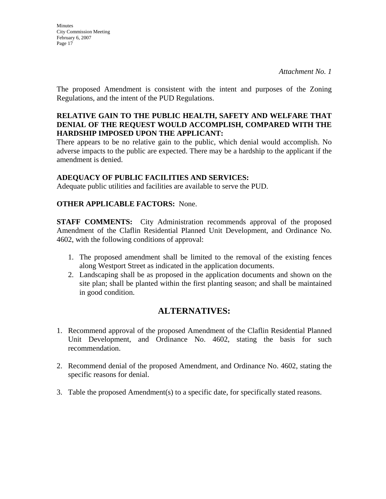**Minutes** City Commission Meeting February 6, 2007 Page 17

The proposed Amendment is consistent with the intent and purposes of the Zoning Regulations, and the intent of the PUD Regulations.

#### **RELATIVE GAIN TO THE PUBLIC HEALTH, SAFETY AND WELFARE THAT DENIAL OF THE REQUEST WOULD ACCOMPLISH, COMPARED WITH THE HARDSHIP IMPOSED UPON THE APPLICANT:**

There appears to be no relative gain to the public, which denial would accomplish. No adverse impacts to the public are expected. There may be a hardship to the applicant if the amendment is denied.

#### **ADEQUACY OF PUBLIC FACILITIES AND SERVICES:**

Adequate public utilities and facilities are available to serve the PUD.

#### **OTHER APPLICABLE FACTORS:** None.

**STAFF COMMENTS:** City Administration recommends approval of the proposed Amendment of the Claflin Residential Planned Unit Development, and Ordinance No. 4602, with the following conditions of approval:

- 1. The proposed amendment shall be limited to the removal of the existing fences along Westport Street as indicated in the application documents.
- 2. Landscaping shall be as proposed in the application documents and shown on the site plan; shall be planted within the first planting season; and shall be maintained in good condition.

## **ALTERNATIVES:**

- 1. Recommend approval of the proposed Amendment of the Claflin Residential Planned Unit Development, and Ordinance No. 4602, stating the basis for such recommendation.
- 2. Recommend denial of the proposed Amendment, and Ordinance No. 4602, stating the specific reasons for denial.
- 3. Table the proposed Amendment(s) to a specific date, for specifically stated reasons.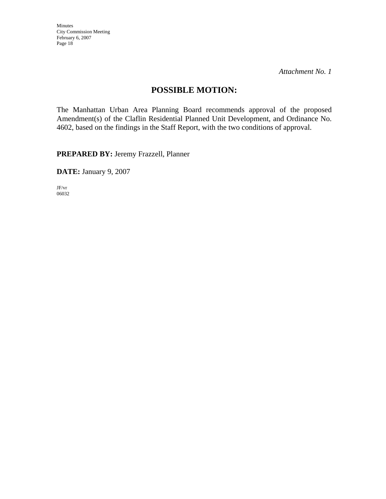*Attachment No. 1* 

## **POSSIBLE MOTION:**

The Manhattan Urban Area Planning Board recommends approval of the proposed Amendment(s) of the Claflin Residential Planned Unit Development, and Ordinance No. 4602, based on the findings in the Staff Report, with the two conditions of approval.

**PREPARED BY:** Jeremy Frazzell, Planner

**DATE:** January 9, 2007

JF/vr 06032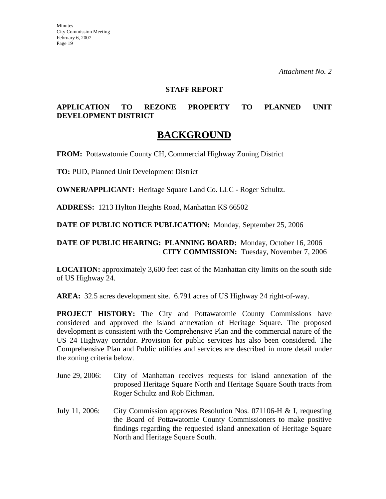#### **STAFF REPORT**

#### **APPLICATION TO REZONE PROPERTY TO PLANNED UNIT DEVELOPMENT DISTRICT**

## **BACKGROUND**

**FROM:** Pottawatomie County CH, Commercial Highway Zoning District

**TO:** PUD, Planned Unit Development District

**OWNER/APPLICANT:** Heritage Square Land Co. LLC - Roger Schultz.

**ADDRESS:** 1213 Hylton Heights Road, Manhattan KS 66502

**DATE OF PUBLIC NOTICE PUBLICATION:** Monday, September 25, 2006

#### **DATE OF PUBLIC HEARING: PLANNING BOARD:** Monday, October 16, 2006 **CITY COMMISSION:** Tuesday, November 7, 2006

**LOCATION:** approximately 3,600 feet east of the Manhattan city limits on the south side of US Highway 24.

**AREA:** 32.5 acres development site. 6.791 acres of US Highway 24 right-of-way.

**PROJECT HISTORY:** The City and Pottawatomie County Commissions have considered and approved the island annexation of Heritage Square. The proposed development is consistent with the Comprehensive Plan and the commercial nature of the US 24 Highway corridor. Provision for public services has also been considered. The Comprehensive Plan and Public utilities and services are described in more detail under the zoning criteria below.

- June 29, 2006: City of Manhattan receives requests for island annexation of the proposed Heritage Square North and Heritage Square South tracts from Roger Schultz and Rob Eichman.
- July 11, 2006: City Commission approves Resolution Nos. 071106-H & I, requesting the Board of Pottawatomie County Commissioners to make positive findings regarding the requested island annexation of Heritage Square North and Heritage Square South.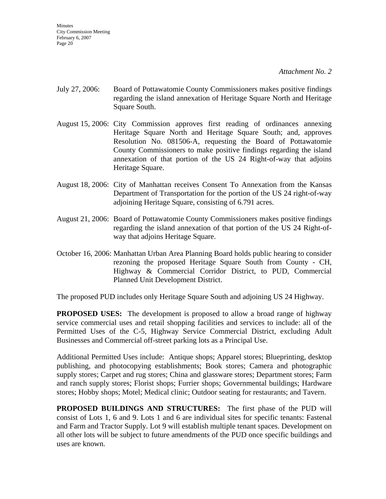- July 27, 2006: Board of Pottawatomie County Commissioners makes positive findings regarding the island annexation of Heritage Square North and Heritage Square South.
- August 15, 2006: City Commission approves first reading of ordinances annexing Heritage Square North and Heritage Square South; and, approves Resolution No. 081506-A, requesting the Board of Pottawatomie County Commissioners to make positive findings regarding the island annexation of that portion of the US 24 Right-of-way that adjoins Heritage Square.
- August 18, 2006: City of Manhattan receives Consent To Annexation from the Kansas Department of Transportation for the portion of the US 24 right-of-way adjoining Heritage Square, consisting of 6.791 acres.
- August 21, 2006: Board of Pottawatomie County Commissioners makes positive findings regarding the island annexation of that portion of the US 24 Right-ofway that adjoins Heritage Square.
- October 16, 2006: Manhattan Urban Area Planning Board holds public hearing to consider rezoning the proposed Heritage Square South from County - CH, Highway & Commercial Corridor District, to PUD, Commercial Planned Unit Development District.

The proposed PUD includes only Heritage Square South and adjoining US 24 Highway.

**PROPOSED USES:** The development is proposed to allow a broad range of highway service commercial uses and retail shopping facilities and services to include: all of the Permitted Uses of the C-5, Highway Service Commercial District, excluding Adult Businesses and Commercial off-street parking lots as a Principal Use.

Additional Permitted Uses include: Antique shops; Apparel stores; Blueprinting, desktop publishing, and photocopying establishments; Book stores; Camera and photographic supply stores; Carpet and rug stores; China and glassware stores; Department stores; Farm and ranch supply stores; Florist shops; Furrier shops; Governmental buildings; Hardware stores; Hobby shops; Motel; Medical clinic; Outdoor seating for restaurants; and Tavern.

**PROPOSED BUILDINGS AND STRUCTURES:** The first phase of the PUD will consist of Lots 1, 6 and 9. Lots 1 and 6 are individual sites for specific tenants: Fastenal and Farm and Tractor Supply. Lot 9 will establish multiple tenant spaces. Development on all other lots will be subject to future amendments of the PUD once specific buildings and uses are known.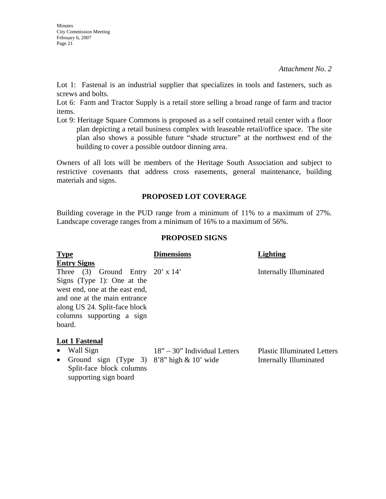Lot 1: Fastenal is an industrial supplier that specializes in tools and fasteners, such as screws and bolts.

Lot 6: Farm and Tractor Supply is a retail store selling a broad range of farm and tractor items.

Lot 9: Heritage Square Commons is proposed as a self contained retail center with a floor plan depicting a retail business complex with leaseable retail/office space. The site plan also shows a possible future "shade structure" at the northwest end of the building to cover a possible outdoor dinning area.

Owners of all lots will be members of the Heritage South Association and subject to restrictive covenants that address cross easements, general maintenance, building materials and signs.

#### **PROPOSED LOT COVERAGE**

Building coverage in the PUD range from a minimum of 11% to a maximum of 27%. Landscape coverage ranges from a minimum of 16% to a maximum of 56%.

#### **PROPOSED SIGNS**

| <b>Type</b>                                                                                                                                                                                           | <b>Dimensions</b>                                                 | <b>Lighting</b>        |
|-------------------------------------------------------------------------------------------------------------------------------------------------------------------------------------------------------|-------------------------------------------------------------------|------------------------|
| <b>Entry Signs</b>                                                                                                                                                                                    |                                                                   |                        |
| Three (3) Ground Entry $20' \times 14'$<br>Signs (Type 1): One at the<br>west end, one at the east end,<br>and one at the main entrance<br>along US 24. Split-face block<br>columns supporting a sign |                                                                   | Internally Illuminated |
| board.                                                                                                                                                                                                |                                                                   |                        |
| Lot 1 Fastenal                                                                                                                                                                                        |                                                                   |                        |
| $\bullet$ Well $\mathcal{C}_{\mathbf{con}}$                                                                                                                                                           | 1.O <sub>22</sub><br>$202.5$ Let $3! - 3! - 1$ Let $\overline{1}$ |                        |

• Wall Sign

18" – 30" Individual Letters

Plastic Illuminated Letters Internally Illuminated

• Ground sign (Type 3) 8'8" high & 10' wide Split-face block columns supporting sign board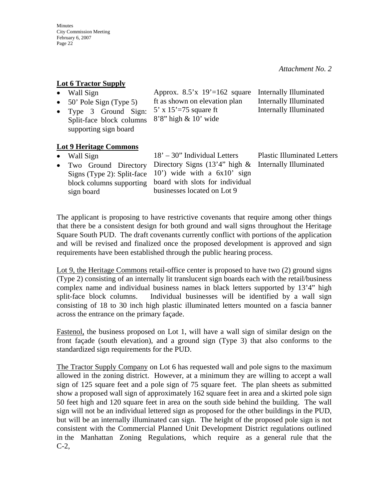| Lot 6 Tractor Supply |  |
|----------------------|--|
|                      |  |

- Wall Sign
- 50' Pole Sign (Type 5)
	- ft as shown on elevation plan
- Type 3 Ground Sign: Split-face block columns 5' x 15'=75 square ft
	- 8'8" high & 10' wide

Internally Illuminated Internally Illuminated Internally Illuminated

#### **Lot 9 Heritage Commons**

supporting sign board

- Wall Sign
- Two Ground Directory Signs (Type 2): Split-face block columns supporting sign board

18' – 30" Individual Letters Directory Signs  $(13'4'')$  high & 10') wide with a 6x10' sign board with slots for individual businesses located on Lot 9

Approx.  $8.5'x$  19'=162 square

Plastic Illuminated Letters Internally Illuminated

The applicant is proposing to have restrictive covenants that require among other things that there be a consistent design for both ground and wall signs throughout the Heritage Square South PUD. The draft covenants currently conflict with portions of the application and will be revised and finalized once the proposed development is approved and sign requirements have been established through the public hearing process.

Lot 9, the Heritage Commons retail-office center is proposed to have two (2) ground signs (Type 2) consisting of an internally lit translucent sign boards each with the retail/business complex name and individual business names in black letters supported by 13'4" high split-face block columns. Individual businesses will be identified by a wall sign consisting of 18 to 30 inch high plastic illuminated letters mounted on a fascia banner across the entrance on the primary façade.

Fastenol, the business proposed on Lot 1, will have a wall sign of similar design on the front façade (south elevation), and a ground sign (Type 3) that also conforms to the standardized sign requirements for the PUD.

The Tractor Supply Company on Lot 6 has requested wall and pole signs to the maximum allowed in the zoning district. However, at a minimum they are willing to accept a wall sign of 125 square feet and a pole sign of 75 square feet. The plan sheets as submitted show a proposed wall sign of approximately 162 square feet in area and a skirted pole sign 50 feet high and 120 square feet in area on the south side behind the building. The wall sign will not be an individual lettered sign as proposed for the other buildings in the PUD, but will be an internally illuminated can sign. The height of the proposed pole sign is not consistent with the Commercial Planned Unit Development District regulations outlined in the Manhattan Zoning Regulations, which require as a general rule that the C-2,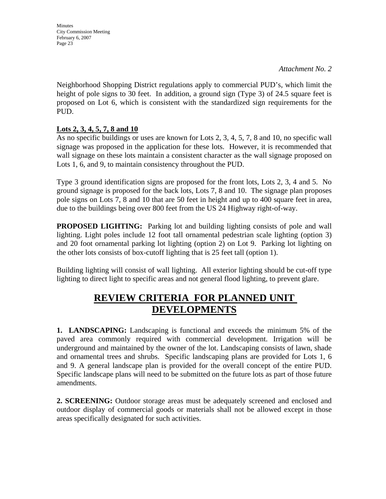*Attachment No. 2* 

Neighborhood Shopping District regulations apply to commercial PUD's, which limit the height of pole signs to 30 feet. In addition, a ground sign (Type 3) of 24.5 square feet is proposed on Lot 6, which is consistent with the standardized sign requirements for the PUD.

## **Lots 2, 3, 4, 5, 7, 8 and 10**

As no specific buildings or uses are known for Lots 2, 3, 4, 5, 7, 8 and 10, no specific wall signage was proposed in the application for these lots. However, it is recommended that wall signage on these lots maintain a consistent character as the wall signage proposed on Lots 1, 6, and 9, to maintain consistency throughout the PUD.

Type 3 ground identification signs are proposed for the front lots, Lots 2, 3, 4 and 5. No ground signage is proposed for the back lots, Lots 7, 8 and 10. The signage plan proposes pole signs on Lots 7, 8 and 10 that are 50 feet in height and up to 400 square feet in area, due to the buildings being over 800 feet from the US 24 Highway right-of-way.

**PROPOSED LIGHTING:** Parking lot and building lighting consists of pole and wall lighting. Light poles include 12 foot tall ornamental pedestrian scale lighting (option 3) and 20 foot ornamental parking lot lighting (option 2) on Lot 9. Parking lot lighting on the other lots consists of box-cutoff lighting that is 25 feet tall (option 1).

Building lighting will consist of wall lighting. All exterior lighting should be cut-off type lighting to direct light to specific areas and not general flood lighting, to prevent glare.

# **REVIEW CRITERIA FOR PLANNED UNIT DEVELOPMENTS**

**1. LANDSCAPING:** Landscaping is functional and exceeds the minimum 5% of the paved area commonly required with commercial development. Irrigation will be underground and maintained by the owner of the lot. Landscaping consists of lawn, shade and ornamental trees and shrubs. Specific landscaping plans are provided for Lots 1, 6 and 9. A general landscape plan is provided for the overall concept of the entire PUD. Specific landscape plans will need to be submitted on the future lots as part of those future amendments.

**2. SCREENING:** Outdoor storage areas must be adequately screened and enclosed and outdoor display of commercial goods or materials shall not be allowed except in those areas specifically designated for such activities.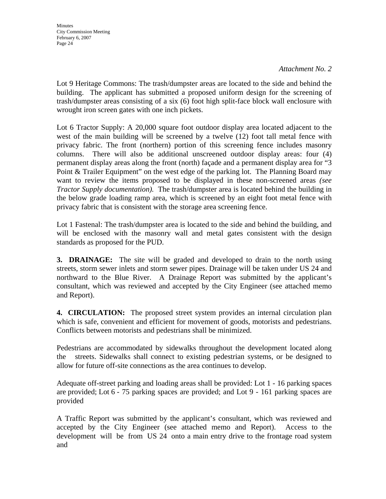#### *Attachment No. 2*

Lot 9 Heritage Commons: The trash/dumpster areas are located to the side and behind the building. The applicant has submitted a proposed uniform design for the screening of trash/dumpster areas consisting of a six (6) foot high split-face block wall enclosure with wrought iron screen gates with one inch pickets.

Lot 6 Tractor Supply: A 20,000 square foot outdoor display area located adjacent to the west of the main building will be screened by a twelve (12) foot tall metal fence with privacy fabric. The front (northern) portion of this screening fence includes masonry columns. There will also be additional unscreened outdoor display areas: four (4) permanent display areas along the front (north) façade and a permanent display area for "3 Point & Trailer Equipment" on the west edge of the parking lot. The Planning Board may want to review the items proposed to be displayed in these non-screened areas *(see Tractor Supply documentation).* The trash/dumpster area is located behind the building in the below grade loading ramp area, which is screened by an eight foot metal fence with privacy fabric that is consistent with the storage area screening fence.

Lot 1 Fastenal: The trash/dumpster area is located to the side and behind the building, and will be enclosed with the masonry wall and metal gates consistent with the design standards as proposed for the PUD.

**3. DRAINAGE:** The site will be graded and developed to drain to the north using streets, storm sewer inlets and storm sewer pipes. Drainage will be taken under US 24 and northward to the Blue River. A Drainage Report was submitted by the applicant's consultant, which was reviewed and accepted by the City Engineer (see attached memo and Report).

**4. CIRCULATION:** The proposed street system provides an internal circulation plan which is safe, convenient and efficient for movement of goods, motorists and pedestrians. Conflicts between motorists and pedestrians shall be minimized.

Pedestrians are accommodated by sidewalks throughout the development located along the streets. Sidewalks shall connect to existing pedestrian systems, or be designed to allow for future off-site connections as the area continues to develop.

Adequate off-street parking and loading areas shall be provided: Lot 1 - 16 parking spaces are provided; Lot 6 - 75 parking spaces are provided; and Lot 9 - 161 parking spaces are provided

A Traffic Report was submitted by the applicant's consultant, which was reviewed and accepted by the City Engineer (see attached memo and Report). Access to the development will be from US 24 onto a main entry drive to the frontage road system and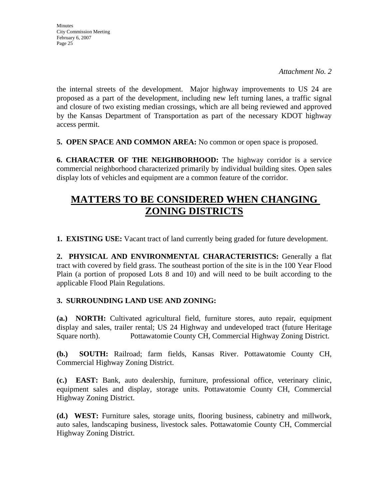**Minutes** City Commission Meeting February 6, 2007 Page 25

the internal streets of the development. Major highway improvements to US 24 are proposed as a part of the development, including new left turning lanes, a traffic signal and closure of two existing median crossings, which are all being reviewed and approved by the Kansas Department of Transportation as part of the necessary KDOT highway access permit.

**5. OPEN SPACE AND COMMON AREA:** No common or open space is proposed.

**6. CHARACTER OF THE NEIGHBORHOOD:** The highway corridor is a service commercial neighborhood characterized primarily by individual building sites. Open sales display lots of vehicles and equipment are a common feature of the corridor.

# **MATTERS TO BE CONSIDERED WHEN CHANGING ZONING DISTRICTS**

**1. EXISTING USE:** Vacant tract of land currently being graded for future development.

**2. PHYSICAL AND ENVIRONMENTAL CHARACTERISTICS:** Generally a flat tract with covered by field grass. The southeast portion of the site is in the 100 Year Flood Plain (a portion of proposed Lots 8 and 10) and will need to be built according to the applicable Flood Plain Regulations.

#### **3. SURROUNDING LAND USE AND ZONING:**

**(a.) NORTH:** Cultivated agricultural field, furniture stores, auto repair, equipment display and sales, trailer rental; US 24 Highway and undeveloped tract (future Heritage Square north).Pottawatomie County CH, Commercial Highway Zoning District.

**(b.) SOUTH:** Railroad; farm fields, Kansas River. Pottawatomie County CH, Commercial Highway Zoning District.

**(c.) EAST:** Bank, auto dealership, furniture, professional office, veterinary clinic, equipment sales and display, storage units. Pottawatomie County CH, Commercial Highway Zoning District.

**(d.) WEST:** Furniture sales, storage units, flooring business, cabinetry and millwork, auto sales, landscaping business, livestock sales. Pottawatomie County CH, Commercial Highway Zoning District.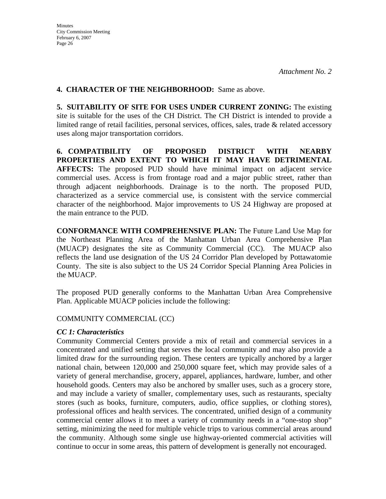#### **4. CHARACTER OF THE NEIGHBORHOOD:** Same as above.

**5. SUITABILITY OF SITE FOR USES UNDER CURRENT ZONING:** The existing site is suitable for the uses of the CH District. The CH District is intended to provide a limited range of retail facilities, personal services, offices, sales, trade & related accessory uses along major transportation corridors.

**6. COMPATIBILITY OF PROPOSED DISTRICT WITH NEARBY PROPERTIES AND EXTENT TO WHICH IT MAY HAVE DETRIMENTAL AFFECTS:** The proposed PUD should have minimal impact on adjacent service commercial uses. Access is from frontage road and a major public street, rather than through adjacent neighborhoods. Drainage is to the north. The proposed PUD, characterized as a service commercial use, is consistent with the service commercial character of the neighborhood. Major improvements to US 24 Highway are proposed at the main entrance to the PUD.

**CONFORMANCE WITH COMPREHENSIVE PLAN:** The Future Land Use Map for the Northeast Planning Area of the Manhattan Urban Area Comprehensive Plan (MUACP) designates the site as Community Commercial (CC). The MUACP also reflects the land use designation of the US 24 Corridor Plan developed by Pottawatomie County. The site is also subject to the US 24 Corridor Special Planning Area Policies in the MUACP.

The proposed PUD generally conforms to the Manhattan Urban Area Comprehensive Plan. Applicable MUACP policies include the following:

#### COMMUNITY COMMERCIAL (CC)

#### *CC 1: Characteristics*

Community Commercial Centers provide a mix of retail and commercial services in a concentrated and unified setting that serves the local community and may also provide a limited draw for the surrounding region. These centers are typically anchored by a larger national chain, between 120,000 and 250,000 square feet, which may provide sales of a variety of general merchandise, grocery, apparel, appliances, hardware, lumber, and other household goods. Centers may also be anchored by smaller uses, such as a grocery store, and may include a variety of smaller, complementary uses, such as restaurants, specialty stores (such as books, furniture, computers, audio, office supplies, or clothing stores), professional offices and health services. The concentrated, unified design of a community commercial center allows it to meet a variety of community needs in a "one-stop shop" setting, minimizing the need for multiple vehicle trips to various commercial areas around the community. Although some single use highway-oriented commercial activities will continue to occur in some areas, this pattern of development is generally not encouraged.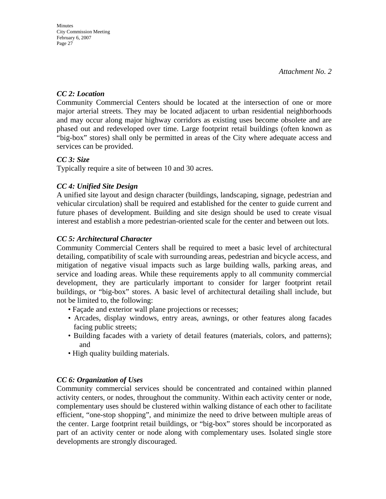#### *CC 2: Location*

Community Commercial Centers should be located at the intersection of one or more major arterial streets. They may be located adjacent to urban residential neighborhoods and may occur along major highway corridors as existing uses become obsolete and are phased out and redeveloped over time. Large footprint retail buildings (often known as "big-box" stores) shall only be permitted in areas of the City where adequate access and services can be provided.

#### *CC 3: Size*

Typically require a site of between 10 and 30 acres.

## *CC 4: Unified Site Design*

A unified site layout and design character (buildings, landscaping, signage, pedestrian and vehicular circulation) shall be required and established for the center to guide current and future phases of development. Building and site design should be used to create visual interest and establish a more pedestrian-oriented scale for the center and between out lots.

#### *CC 5: Architectural Character*

 Community Commercial Centers shall be required to meet a basic level of architectural detailing, compatibility of scale with surrounding areas, pedestrian and bicycle access, and mitigation of negative visual impacts such as large building walls, parking areas, and service and loading areas. While these requirements apply to all community commercial development, they are particularly important to consider for larger footprint retail buildings, or "big-box" stores. A basic level of architectural detailing shall include, but not be limited to, the following:

- Façade and exterior wall plane projections or recesses;
- Arcades, display windows, entry areas, awnings, or other features along facades facing public streets;
- Building facades with a variety of detail features (materials, colors, and patterns); and
- High quality building materials.

## *CC 6: Organization of Uses*

Community commercial services should be concentrated and contained within planned activity centers, or nodes, throughout the community. Within each activity center or node, complementary uses should be clustered within walking distance of each other to facilitate efficient, "one-stop shopping", and minimize the need to drive between multiple areas of the center. Large footprint retail buildings, or "big-box" stores should be incorporated as part of an activity center or node along with complementary uses. Isolated single store developments are strongly discouraged.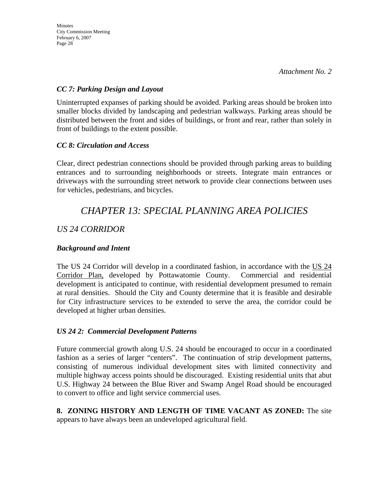#### *CC 7: Parking Design and Layout*

Uninterrupted expanses of parking should be avoided. Parking areas should be broken into smaller blocks divided by landscaping and pedestrian walkways. Parking areas should be distributed between the front and sides of buildings, or front and rear, rather than solely in front of buildings to the extent possible.

#### *CC 8: Circulation and Access*

Clear, direct pedestrian connections should be provided through parking areas to building entrances and to surrounding neighborhoods or streets. Integrate main entrances or driveways with the surrounding street network to provide clear connections between uses for vehicles, pedestrians, and bicycles.

# *CHAPTER 13: SPECIAL PLANNING AREA POLICIES*

## *US 24 CORRIDOR*

### *Background and Intent*

The US 24 Corridor will develop in a coordinated fashion, in accordance with the US 24 Corridor Plan, developed by Pottawatomie County. Commercial and residential development is anticipated to continue, with residential development presumed to remain at rural densities. Should the City and County determine that it is feasible and desirable for City infrastructure services to be extended to serve the area, the corridor could be developed at higher urban densities.

#### *US 24 2: Commercial Development Patterns*

Future commercial growth along U.S. 24 should be encouraged to occur in a coordinated fashion as a series of larger "centers". The continuation of strip development patterns, consisting of numerous individual development sites with limited connectivity and multiple highway access points should be discouraged. Existing residential units that abut U.S. Highway 24 between the Blue River and Swamp Angel Road should be encouraged to convert to office and light service commercial uses.

**8. ZONING HISTORY AND LENGTH OF TIME VACANT AS ZONED:** The site appears to have always been an undeveloped agricultural field.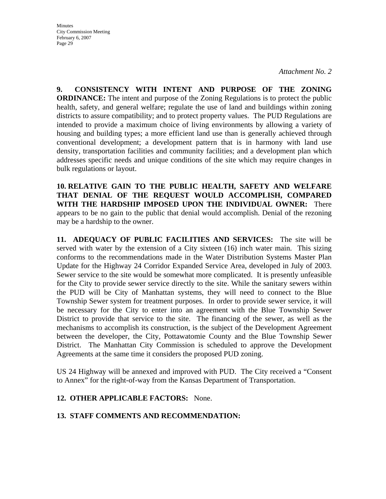*Attachment No. 2* 

**9. CONSISTENCY WITH INTENT AND PURPOSE OF THE ZONING ORDINANCE:** The intent and purpose of the Zoning Regulations is to protect the public health, safety, and general welfare; regulate the use of land and buildings within zoning districts to assure compatibility; and to protect property values. The PUD Regulations are intended to provide a maximum choice of living environments by allowing a variety of housing and building types; a more efficient land use than is generally achieved through conventional development; a development pattern that is in harmony with land use density, transportation facilities and community facilities; and a development plan which addresses specific needs and unique conditions of the site which may require changes in bulk regulations or layout.

**10. RELATIVE GAIN TO THE PUBLIC HEALTH, SAFETY AND WELFARE THAT DENIAL OF THE REQUEST WOULD ACCOMPLISH, COMPARED WITH THE HARDSHIP IMPOSED UPON THE INDIVIDUAL OWNER:** There appears to be no gain to the public that denial would accomplish. Denial of the rezoning may be a hardship to the owner.

**11. ADEQUACY OF PUBLIC FACILITIES AND SERVICES:** The site will be served with water by the extension of a City sixteen (16) inch water main. This sizing conforms to the recommendations made in the Water Distribution Systems Master Plan Update for the Highway 24 Corridor Expanded Service Area, developed in July of 2003. Sewer service to the site would be somewhat more complicated. It is presently unfeasible for the City to provide sewer service directly to the site. While the sanitary sewers within the PUD will be City of Manhattan systems, they will need to connect to the Blue Township Sewer system for treatment purposes. In order to provide sewer service, it will be necessary for the City to enter into an agreement with the Blue Township Sewer District to provide that service to the site. The financing of the sewer, as well as the mechanisms to accomplish its construction, is the subject of the Development Agreement between the developer, the City, Pottawatomie County and the Blue Township Sewer District. The Manhattan City Commission is scheduled to approve the Development Agreements at the same time it considers the proposed PUD zoning.

US 24 Highway will be annexed and improved with PUD. The City received a "Consent to Annex" for the right-of-way from the Kansas Department of Transportation.

#### **12. OTHER APPLICABLE FACTORS:** None.

## **13. STAFF COMMENTS AND RECOMMENDATION:**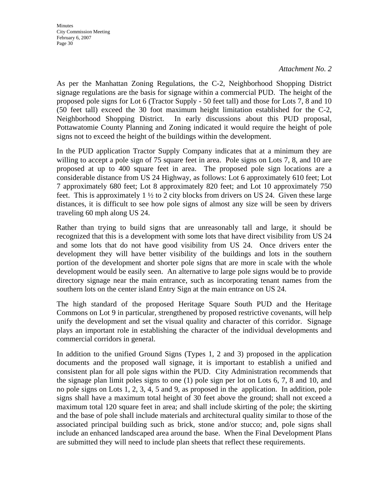#### *Attachment No. 2*

As per the Manhattan Zoning Regulations, the C-2, Neighborhood Shopping District signage regulations are the basis for signage within a commercial PUD. The height of the proposed pole signs for Lot 6 (Tractor Supply - 50 feet tall) and those for Lots 7, 8 and 10 (50 feet tall) exceed the 30 foot maximum height limitation established for the C-2, Neighborhood Shopping District. In early discussions about this PUD proposal, Pottawatomie County Planning and Zoning indicated it would require the height of pole signs not to exceed the height of the buildings within the development.

In the PUD application Tractor Supply Company indicates that at a minimum they are willing to accept a pole sign of 75 square feet in area. Pole signs on Lots 7, 8, and 10 are proposed at up to 400 square feet in area. The proposed pole sign locations are a considerable distance from US 24 Highway, as follows: Lot 6 approximately 610 feet; Lot 7 approximately 680 feet; Lot 8 approximately 820 feet; and Lot 10 approximately 750 feet. This is approximately  $1 \frac{1}{2}$  to 2 city blocks from drivers on US 24. Given these large distances, it is difficult to see how pole signs of almost any size will be seen by drivers traveling 60 mph along US 24.

Rather than trying to build signs that are unreasonably tall and large, it should be recognized that this is a development with some lots that have direct visibility from US 24 and some lots that do not have good visibility from US 24. Once drivers enter the development they will have better visibility of the buildings and lots in the southern portion of the development and shorter pole signs that are more in scale with the whole development would be easily seen. An alternative to large pole signs would be to provide directory signage near the main entrance, such as incorporating tenant names from the southern lots on the center island Entry Sign at the main entrance on US 24.

The high standard of the proposed Heritage Square South PUD and the Heritage Commons on Lot 9 in particular, strengthened by proposed restrictive covenants, will help unify the development and set the visual quality and character of this corridor. Signage plays an important role in establishing the character of the individual developments and commercial corridors in general.

In addition to the unified Ground Signs (Types 1, 2 and 3) proposed in the application documents and the proposed wall signage, it is important to establish a unified and consistent plan for all pole signs within the PUD. City Administration recommends that the signage plan limit poles signs to one (1) pole sign per lot on Lots 6, 7, 8 and 10, and no pole signs on Lots 1, 2, 3, 4, 5 and 9, as proposed in the application. In addition, pole signs shall have a maximum total height of 30 feet above the ground; shall not exceed a maximum total 120 square feet in area; and shall include skirting of the pole; the skirting and the base of pole shall include materials and architectural quality similar to those of the associated principal building such as brick, stone and/or stucco; and, pole signs shall include an enhanced landscaped area around the base. When the Final Development Plans are submitted they will need to include plan sheets that reflect these requirements.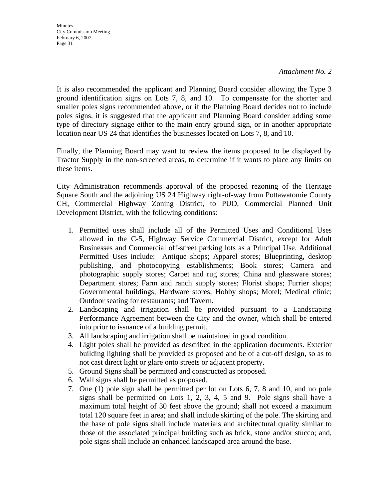**Minutes** City Commission Meeting February 6, 2007 Page 31

It is also recommended the applicant and Planning Board consider allowing the Type 3 ground identification signs on Lots 7, 8, and 10. To compensate for the shorter and smaller poles signs recommended above, or if the Planning Board decides not to include poles signs, it is suggested that the applicant and Planning Board consider adding some type of directory signage either to the main entry ground sign, or in another appropriate location near US 24 that identifies the businesses located on Lots 7, 8, and 10.

Finally, the Planning Board may want to review the items proposed to be displayed by Tractor Supply in the non-screened areas, to determine if it wants to place any limits on these items.

City Administration recommends approval of the proposed rezoning of the Heritage Square South and the adjoining US 24 Highway right-of-way from Pottawatomie County CH, Commercial Highway Zoning District, to PUD, Commercial Planned Unit Development District, with the following conditions:

- 1. Permitted uses shall include all of the Permitted Uses and Conditional Uses allowed in the C-5, Highway Service Commercial District, except for Adult Businesses and Commercial off-street parking lots as a Principal Use. Additional Permitted Uses include: Antique shops; Apparel stores; Blueprinting, desktop publishing, and photocopying establishments; Book stores; Camera and photographic supply stores; Carpet and rug stores; China and glassware stores; Department stores; Farm and ranch supply stores; Florist shops; Furrier shops; Governmental buildings; Hardware stores; Hobby shops; Motel; Medical clinic; Outdoor seating for restaurants; and Tavern.
- 2. Landscaping and irrigation shall be provided pursuant to a Landscaping Performance Agreement between the City and the owner, which shall be entered into prior to issuance of a building permit.
- 3. All landscaping and irrigation shall be maintained in good condition.
- 4. Light poles shall be provided as described in the application documents. Exterior building lighting shall be provided as proposed and be of a cut-off design, so as to not cast direct light or glare onto streets or adjacent property.
- 5. Ground Signs shall be permitted and constructed as proposed.
- 6. Wall signs shall be permitted as proposed.
- 7. One (1) pole sign shall be permitted per lot on Lots 6, 7, 8 and 10, and no pole signs shall be permitted on Lots 1, 2, 3, 4, 5 and 9. Pole signs shall have a maximum total height of 30 feet above the ground; shall not exceed a maximum total 120 square feet in area; and shall include skirting of the pole. The skirting and the base of pole signs shall include materials and architectural quality similar to those of the associated principal building such as brick, stone and/or stucco; and, pole signs shall include an enhanced landscaped area around the base.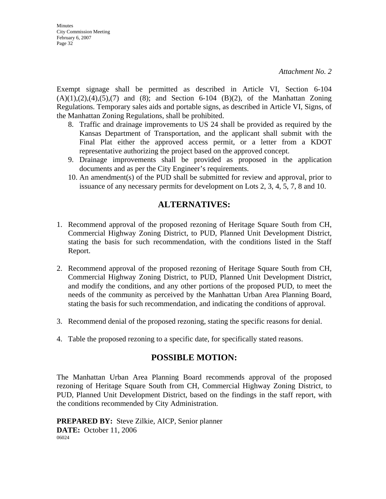*Attachment No. 2* 

Exempt signage shall be permitted as described in Article VI, Section 6-104  $(A)(1),(2),(4),(5),(7)$  and  $(8)$ ; and Section 6-104  $(B)(2)$ , of the Manhattan Zoning Regulations. Temporary sales aids and portable signs, as described in Article VI, Signs, of the Manhattan Zoning Regulations, shall be prohibited.

- 8. Traffic and drainage improvements to US 24 shall be provided as required by the Kansas Department of Transportation, and the applicant shall submit with the Final Plat either the approved access permit, or a letter from a KDOT representative authorizing the project based on the approved concept.
- 9. Drainage improvements shall be provided as proposed in the application documents and as per the City Engineer's requirements.
- 10. An amendment(s) of the PUD shall be submitted for review and approval, prior to issuance of any necessary permits for development on Lots 2, 3, 4, 5, 7, 8 and 10.

## **ALTERNATIVES:**

- 1. Recommend approval of the proposed rezoning of Heritage Square South from CH, Commercial Highway Zoning District, to PUD, Planned Unit Development District, stating the basis for such recommendation, with the conditions listed in the Staff Report.
- 2. Recommend approval of the proposed rezoning of Heritage Square South from CH, Commercial Highway Zoning District, to PUD, Planned Unit Development District, and modify the conditions, and any other portions of the proposed PUD, to meet the needs of the community as perceived by the Manhattan Urban Area Planning Board, stating the basis for such recommendation, and indicating the conditions of approval.
- 3. Recommend denial of the proposed rezoning, stating the specific reasons for denial.
- 4. Table the proposed rezoning to a specific date, for specifically stated reasons.

## **POSSIBLE MOTION:**

The Manhattan Urban Area Planning Board recommends approval of the proposed rezoning of Heritage Square South from CH, Commercial Highway Zoning District, to PUD, Planned Unit Development District, based on the findings in the staff report, with the conditions recommended by City Administration.

**PREPARED BY:** Steve Zilkie, AICP, Senior planner **DATE:** October 11, 2006 06024